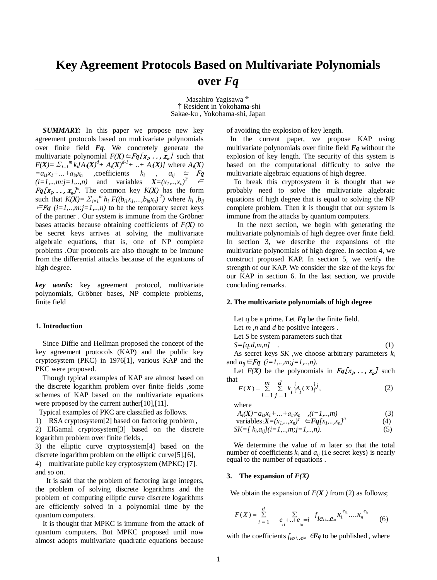Masahiro Yagisawa† †Resident in Yokohama-shi Sakae-ku , Yokohama-shi, Japan

*SUMMARY:* In this paper we propose new key agreement protocols based on multivariate polynomials over finite field *Fq*. We concretely generate the multivariate polynomial  $F(X) \in Fq[x_1, \ldots, x_n]$  such that  $F(X) = \sum_{i=1}^{m} k_i [A_i(X)^{d} + A_i(X)^{d-1} + ... + A_i(X)]$  where  $A_i(X)$  $=a_{i1}x_1 + ... + a_{in}x_n$  , coefficients  $k_i$  ,  $a_{ij} \in \mathbb{F}q$  $(i=1, ..., m; j=1, ..., n)$  and variables  $X=(x_1, ..., x_n)^T \in$  $Fq[x_1, \ldots, x_n]^n$ . The common key  $K(X)$  has the form such that  $K(X) = \sum_{i=1}^{m} h_i F((b_{i1}x_1,...,b_{in}x_n)^T)$  where  $h_i, b_{ij}$  $\in$ *Fq* (*i*=*1,..,m:j*=*1,..,n*) to be the temporary secret keys of the partner . Our system is immune from the Gröbner bases attacks because obtaining coefficients of  $F(X)$  to be secret keys arrives at solving the multivariate algebraic equations, that is, one of NP complete problems *.*Our protocols are also thought to be immune from the differential attacks because of the equations of high degree.

*key words:* key agreement protocol, multivariate polynomials, Gröbner bases, NP complete problems, finite field

## **1. Introduction**

Since Diffie and Hellman proposed the concept of the key agreement protocols (KAP) and the public key cryptosystem (PKC) in 1976[1], various KAP and the PKC were proposed.

 Though typical examples of KAP are almost based on the discrete logarithm problem over finite fields ,some schemes of KAP based on the multivariate equations were proposed by the current auther[10],[11].

Typical examples of PKC are classified as follows.

1) RSA cryptosystem[2] based on factoring problem ,

2) ElGamal cryptosystem[3] based on the discrete logarithm problem over finite fields ,

3) the elliptic curve cryptosystem[4] based on the discrete logarithm problem on the elliptic curve[5],[6],

4) multivariate public key cryptosystem (MPKC) [7]. and so on.

 It is said that the problem of factoring large integers, the problem of solving discrete logarithms and the problem of computing elliptic curve discrete logarithms are efficiently solved in a polynomial time by the quantum computers.

It is thought that MPKC is immune from the attack of quantum computers. But MPKC proposed until now almost adopts multivariate quadratic equations because

of avoiding the explosion of key length.

In the current paper, we propose KAP using multivariate polynomials over finite field *Fq* without the explosion of key length. The security of this system is based on the computational difficulty to solve the multivariate algebraic equations of high degree.

To break this cryptosystem it is thought that we probably need to solve the multivariate algebraic equations of high degree that is equal to solving the NP complete problem. Then it is thought that our system is immune from the attacks by quantum computers.

 In the next section, we begin with generating the multivariate polynomials of high degree over finite field. In section 3, we describe the expansions of the multivariate polynomials of high degree. In section 4, we construct proposed KAP. In section 5, we verify the strength of our KAP. We consider the size of the keys for our KAP in section 6. In the last section, we provide concluding remarks.

#### **2. The multivariate polynomials of high degree**

Let *q* be a prime. Let *Fq* be the finite field. Let *m ,n* and *d* be positive integers *.*

Let *S* be system parameters such that

$$
S = \{q, d, m, n\} \tag{1}
$$

As secret keys *SK* ,we choose arbitrary parameters *k<sup>i</sup>* and  $a_{ij} \in Fq$  (*i*=1,..,*m*;*j*=1,..,*n*).

Let  $F(X)$  be the polynomials in  $Fq[x_1, \ldots, x_n]$  such that

$$
F(X) = \sum_{i=1}^{m} \sum_{j=1}^{d} k_i \{A_i(X)\}^j,
$$
 (2)

where

$$
A_i(\mathbf{X}) = a_{i1}x_1 + \dots + a_{in}x_n \quad (i = 1, \dots, m)
$$
\n
$$
\text{(3)}
$$
\n
$$
\text{variables} \cdot \mathbf{X} = (x_1, x_1)^T \quad \text{(4)}
$$
\n
$$
\text{(5)}
$$

variables, 
$$
X = (x_1, ..., x_n)^T
$$
  $\in$  **Fq**[ $x_1, ..., x_n$ ]<sup>n</sup>   
SK = [ $k_i$ ,  $a_{ij}$ ]/( $i = 1, ..., m$ ;  $j = 1, ..., n$ ). (5)

We determine the value of *m* later so that the total number of coefficients  $k_i$  and  $a_{ij}$  (i.e secret keys) is nearly equal to the number of equations .  $F(X) = \sum_{i=1}^{n} \sum_{j=1}^{n} k_i \{A_i(X)\}^j$ , (2)<br>
where<br>  $A_i(X)=a_{i1}x_1+...+a_{in}x_n$ ,  $(i=1,...,m)$  (3)<br>
variables: $X=(x_1,...,x_n)^T \in \mathbf{Fq}[x_1,...,x_n]^n$  (4)<br>  $SK=[k_ia_{ij}]/(i=1,...,m;j=1,...,n)$ . (5)<br>
We determine the value of *m* later so that the tot

# **3.** The expansion of  $F(X)$

We obtain the expansion of  $F(X)$  from (2) as follows;

$$
F(X) = \sum_{i=1}^{d} \sum_{\substack{e_{i+1} + e_{i} = i \\ i = 1}} f_{i} e_{i} \cdot \ldots e_{i}^{e_{i1}} \cdots x_{i}^{e_{i} \cdot \ldots \cdot e_{i}} \qquad (6)
$$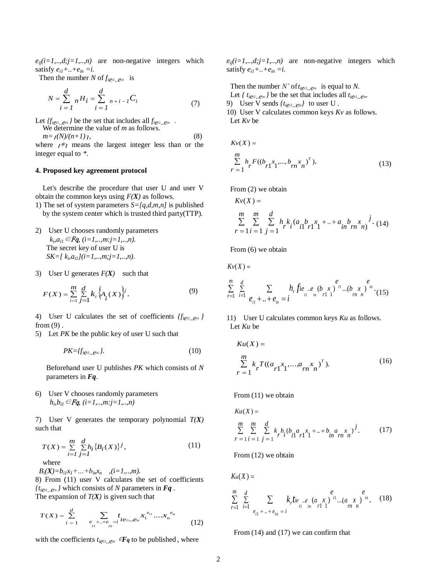$e_{ii}(i=1,..,d;j=1,..,n)$  are non-negative integers which satisfy  $e_{i1} + ... + e_{in} = i$ .

Then the number *N* of  $f_{i\text{ei1...}\text{ei2}}$  is

$$
N = \sum_{i=1}^{d} {}_{n}H_{i} = \sum_{i=1}^{d} {}_{n+i-1}C_{i}
$$
  
Let { *t*<sub>i*e*<sub>i</sub>, *e*<sub>m</sub> } be the number of elements of the number of elements. The number of elements are the number of elements of the number of elements. (7)</sub>

Let  $\{f_{i\ell i1} \ldots \ell i n}$  *}* be the set that includes all  $f_{i\ell i1} \ldots \ell i n}$ .

We determine the value of *m* as follows.  $m = f(N)/(n+1)$ <sub>1</sub>, (8)

where  $r \nless 1$  means the largest integer less than or the integer equal to *\**.

# **4. Proposed key agreement protocol**

Let's describe the procedure that user U and user V obtain the common keys using *F(X)* as follows.

- 1) The set of system parameters *S=[q,d,m,n]* is published by the system center which is trusted third party(TTP).
- 2) User U chooses randomly parameters  $k_i, a_{i1} \in \mathbb{F}$ q,  $(i=1, ..., m; j=1, ..., n)$ . The secret key of user U is *SK*=[ $k$ <sub>*i*</sub> $a$ <sub>*i1</sub>*](*i*=1,..,*m*;*j*=1,..,*n*).</sub>
- 3) User U generates  $F(X)$  such that

$$
F(X) = \sum_{i=1}^{m} \sum_{j=1}^{d} k_i \{A_i(X)\}^j.
$$
 (9)

4) User U calculates the set of coefficients *{fiei1..ein }*  from (9) .

5) Let *PK* be the public key of user U such that

$$
PK = \{f_{i\mathcal{C}^{i1}}\ldots\mathcal{C}^{i n}\}.\tag{10}
$$

Beforehand user U publishes *PK* which consists of *N*  parameters in *Fq*.

6) User V chooses randomly parameters *hi ,bi1*∈Fq, *(i=1,..,m:j=1,..,n)*

7) User V generates the temporary polynomial *T(X)* such that

$$
T(X) = \sum_{i=1}^{m} \sum_{j=1}^{d} h_i \{B_i(X)\}^j,
$$
 (11)  
where

 $B_i(X) = b_{i1}x_1 + ... + b_{in}x_n$  , *(i=1,..,m).* 8) From (11) user V calculates the set of coefficients  ${t_{\text{left}}}_{\text{right}}$  *e*<sup>*in*</sup> *}* which consists of *N* parameters in *Fq*.

The expansion of  $T(X)$  is given such that

$$
T(X) = \sum_{i=1}^{d} \sum_{\substack{e_1 + \ldots + e_{ni} = i \\ i1 \qquad \ldots \qquad i \qquad i}} t_{i e_{i1} \ldots e_{i n}} x_1^{e_{i1}} \ldots x_n^{e_{i_n}} \qquad (12)
$$

with the coefficients  $t_{i\neq i}$ *,*  $e^{in}$   $\in$ **F***q* to be published, where

 $e_{ij}(i=1,..,d; j=1,..,n)$  are non-negative integers which satisfy  $e_{i1} + ... + e_{in} = i$ .

Then the number *N'* of  $t_{ieil..e}$ <sup>*in*</sup> is equal to *N*. Let  $\{ t_{i\text{ei1...}\text{e}^{in}} \}$  be the set that includes all  $t_{i\text{ei1...}\text{e}^{in}}$ 9) User V sends  $\{t_{ieil}$ <sub>*ein*</sub> $\}$  to user U. 10) User V calculates common keys *Kv* as follows. Let *Kv* be

$$
Kv(X) =
$$
  
\n
$$
\sum_{r=1}^{m} h_r F((b_{r1}x_1, ..., b_{rn}x_n)^T).
$$
 (13)

From (2) we obtain

$$
Kv(X) =
$$
  
\n
$$
\sum_{r=1}^{m} \sum_{i=1}^{m} \sum_{j=1}^{d} h_{r} k_{i} (a_{i1} b_{r1} x_{1} + ... + a_{in} b_{rn} x_{nj}) \cdot (14)
$$

From  $(6)$  we obtain

$$
Kv(X) =
$$

$$
\sum_{r=1}^{m} \sum_{i=1}^{d} \sum_{e_{i1}+...+e_{in} = i} h_r f i e_{i} \cdot e_{i1} \cdot e_{i2} \cdot e_{i3} \cdot e_{i4} \cdot e_{i5} \cdot e_{i7} \cdot e_{i8} \cdot e_{i9} \cdot e_{i1} \cdot e_{i1} \cdot e_{i2} \cdot e_{i3} \cdot e_{i4} \cdot e_{i5}
$$

11) User U calculates common keys *Ku* as follows. Let *Ku* be

$$
Ku(X) =
$$
  
\n
$$
\sum_{r=1}^{m} k_r T((a_{r1}x_1, ..., a_{rn}x_n)^T).
$$
 (16)

From  $(11)$  we obtain

$$
Ku(X) =
$$
  
\n
$$
\sum_{r=1}^{m} \sum_{i=1}^{m} \sum_{j=1}^{d} k_{i} h_{i} (b_{i1} a_{r1}^{x_{1} + ... + b_{i1}^{x_{n} x_{n}}^{y_{i}}).
$$
 (17)

From (12) we obtain

 $K_u(X) =$ 

$$
\sum_{r=1}^{m} \sum_{i=1}^{d} \sum_{e_{i1} + \ldots + e_{in} = i} k_r t_{ie} \cdot e_{i1 \quad in \quad r1 \quad 1} \quad e \qquad e \qquad e \qquad e \qquad (18)
$$

From  $(14)$  and  $(17)$  we can confirm that